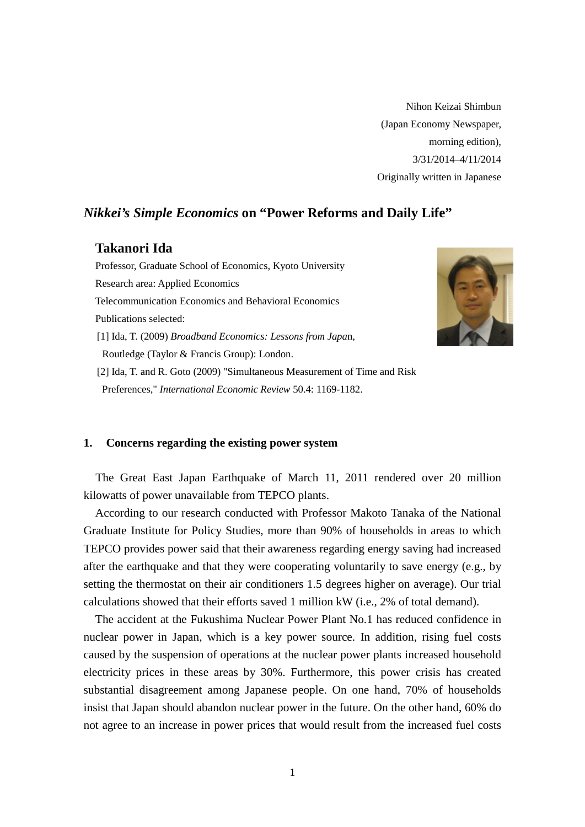Nihon Keizai Shimbun (Japan Economy Newspaper, morning edition), 3/31/2014–4/11/2014 Originally written in Japanese

# *Nikkei's Simple Economics* **on "Power Reforms and Daily Life"**

## **Takanori Ida**

Professor, Graduate School of Economics, Kyoto University Research area: Applied Economics Telecommunication Economics and Behavioral Economics Publications selected: [1] Ida, T. (2009) *Broadband Economics: Lessons from Japa*n, Routledge (Taylor & Francis Group): London. [2] Ida, T. and R. Goto (2009) "Simultaneous Measurement of Time and Risk Preferences," *International Economic Review* 50.4: 1169-1182.



#### **1. Concerns regarding the existing power system**

The Great East Japan Earthquake of March 11, 2011 rendered over 20 million kilowatts of power unavailable from TEPCO plants.

According to our research conducted with Professor Makoto Tanaka of the National Graduate Institute for Policy Studies, more than 90% of households in areas to which TEPCO provides power said that their awareness regarding energy saving had increased after the earthquake and that they were cooperating voluntarily to save energy (e.g., by setting the thermostat on their air conditioners 1.5 degrees higher on average). Our trial calculations showed that their efforts saved 1 million kW (i.e., 2% of total demand).

The accident at the Fukushima Nuclear Power Plant No.1 has reduced confidence in nuclear power in Japan, which is a key power source. In addition, rising fuel costs caused by the suspension of operations at the nuclear power plants increased household electricity prices in these areas by 30%. Furthermore, this power crisis has created substantial disagreement among Japanese people. On one hand, 70% of households insist that Japan should abandon nuclear power in the future. On the other hand, 60% do not agree to an increase in power prices that would result from the increased fuel costs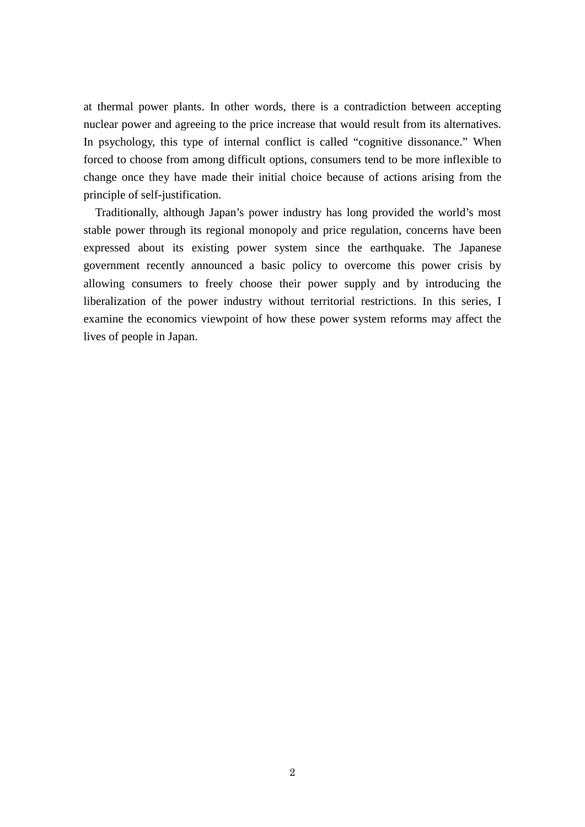at thermal power plants. In other words, there is a contradiction between accepting nuclear power and agreeing to the price increase that would result from its alternatives. In psychology, this type of internal conflict is called "cognitive dissonance." When forced to choose from among difficult options, consumers tend to be more inflexible to change once they have made their initial choice because of actions arising from the principle of self-justification.

Traditionally, although Japan's power industry has long provided the world's most stable power through its regional monopoly and price regulation, concerns have been expressed about its existing power system since the earthquake. The Japanese government recently announced a basic policy to overcome this power crisis by allowing consumers to freely choose their power supply and by introducing the liberalization of the power industry without territorial restrictions. In this series, I examine the economics viewpoint of how these power system reforms may affect the lives of people in Japan.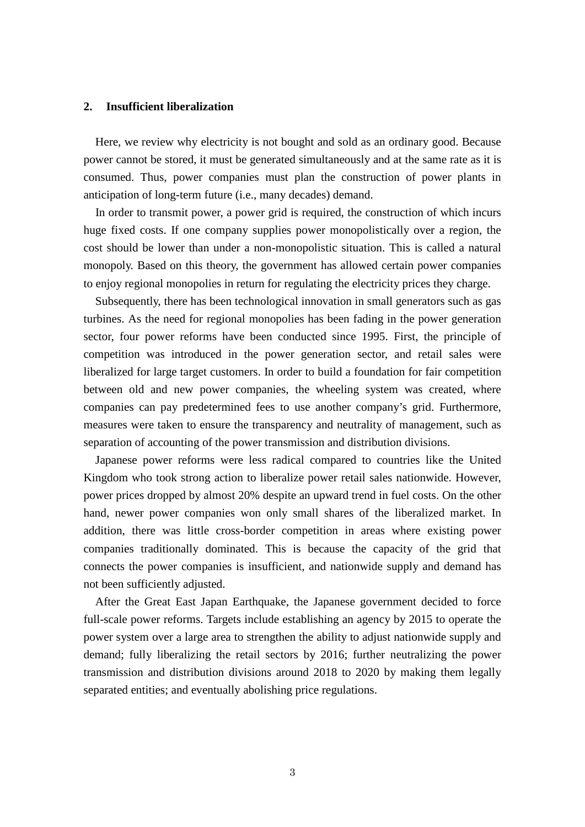#### **2. Insufficient liberalization**

Here, we review why electricity is not bought and sold as an ordinary good. Because power cannot be stored, it must be generated simultaneously and at the same rate as it is consumed. Thus, power companies must plan the construction of power plants in anticipation of long-term future (i.e., many decades) demand.

In order to transmit power, a power grid is required, the construction of which incurs huge fixed costs. If one company supplies power monopolistically over a region, the cost should be lower than under a non-monopolistic situation. This is called a natural monopoly. Based on this theory, the government has allowed certain power companies to enjoy regional monopolies in return for regulating the electricity prices they charge.

Subsequently, there has been technological innovation in small generators such as gas turbines. As the need for regional monopolies has been fading in the power generation sector, four power reforms have been conducted since 1995. First, the principle of competition was introduced in the power generation sector, and retail sales were liberalized for large target customers. In order to build a foundation for fair competition between old and new power companies, the wheeling system was created, where companies can pay predetermined fees to use another company's grid. Furthermore, measures were taken to ensure the transparency and neutrality of management, such as separation of accounting of the power transmission and distribution divisions.

Japanese power reforms were less radical compared to countries like the United Kingdom who took strong action to liberalize power retail sales nationwide. However, power prices dropped by almost 20% despite an upward trend in fuel costs. On the other hand, newer power companies won only small shares of the liberalized market. In addition, there was little cross-border competition in areas where existing power companies traditionally dominated. This is because the capacity of the grid that connects the power companies is insufficient, and nationwide supply and demand has not been sufficiently adjusted.

After the Great East Japan Earthquake, the Japanese government decided to force full-scale power reforms. Targets include establishing an agency by 2015 to operate the power system over a large area to strengthen the ability to adjust nationwide supply and demand; fully liberalizing the retail sectors by 2016; further neutralizing the power transmission and distribution divisions around 2018 to 2020 by making them legally separated entities; and eventually abolishing price regulations.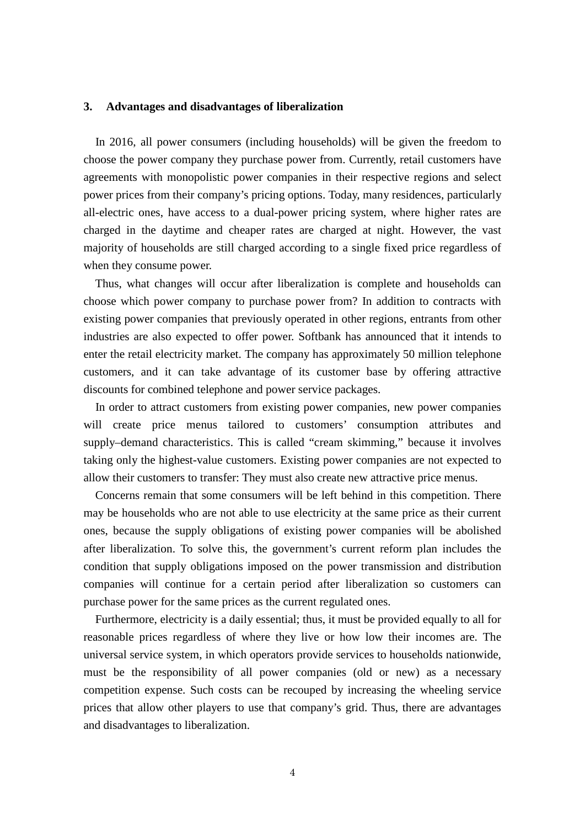### **3. Advantages and disadvantages of liberalization**

In 2016, all power consumers (including households) will be given the freedom to choose the power company they purchase power from. Currently, retail customers have agreements with monopolistic power companies in their respective regions and select power prices from their company's pricing options. Today, many residences, particularly all-electric ones, have access to a dual-power pricing system, where higher rates are charged in the daytime and cheaper rates are charged at night. However, the vast majority of households are still charged according to a single fixed price regardless of when they consume power.

Thus, what changes will occur after liberalization is complete and households can choose which power company to purchase power from? In addition to contracts with existing power companies that previously operated in other regions, entrants from other industries are also expected to offer power. Softbank has announced that it intends to enter the retail electricity market. The company has approximately 50 million telephone customers, and it can take advantage of its customer base by offering attractive discounts for combined telephone and power service packages.

In order to attract customers from existing power companies, new power companies will create price menus tailored to customers' consumption attributes and supply–demand characteristics. This is called "cream skimming," because it involves taking only the highest-value customers. Existing power companies are not expected to allow their customers to transfer: They must also create new attractive price menus.

Concerns remain that some consumers will be left behind in this competition. There may be households who are not able to use electricity at the same price as their current ones, because the supply obligations of existing power companies will be abolished after liberalization. To solve this, the government's current reform plan includes the condition that supply obligations imposed on the power transmission and distribution companies will continue for a certain period after liberalization so customers can purchase power for the same prices as the current regulated ones.

Furthermore, electricity is a daily essential; thus, it must be provided equally to all for reasonable prices regardless of where they live or how low their incomes are. The universal service system, in which operators provide services to households nationwide, must be the responsibility of all power companies (old or new) as a necessary competition expense. Such costs can be recouped by increasing the wheeling service prices that allow other players to use that company's grid. Thus, there are advantages and disadvantages to liberalization.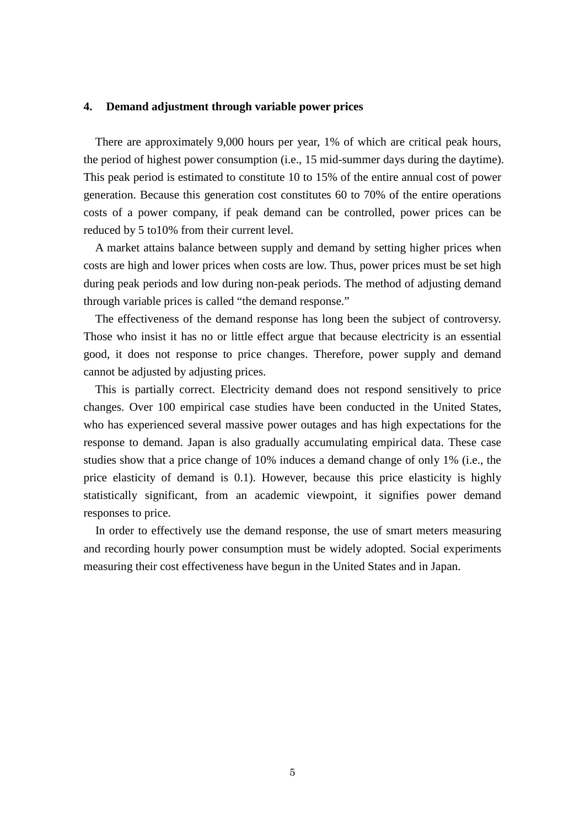#### **4. Demand adjustment through variable power prices**

There are approximately 9,000 hours per year, 1% of which are critical peak hours, the period of highest power consumption (i.e., 15 mid-summer days during the daytime). This peak period is estimated to constitute 10 to 15% of the entire annual cost of power generation. Because this generation cost constitutes 60 to 70% of the entire operations costs of a power company, if peak demand can be controlled, power prices can be reduced by 5 to10% from their current level.

A market attains balance between supply and demand by setting higher prices when costs are high and lower prices when costs are low. Thus, power prices must be set high during peak periods and low during non-peak periods. The method of adjusting demand through variable prices is called "the demand response."

The effectiveness of the demand response has long been the subject of controversy. Those who insist it has no or little effect argue that because electricity is an essential good, it does not response to price changes. Therefore, power supply and demand cannot be adjusted by adjusting prices.

This is partially correct. Electricity demand does not respond sensitively to price changes. Over 100 empirical case studies have been conducted in the United States, who has experienced several massive power outages and has high expectations for the response to demand. Japan is also gradually accumulating empirical data. These case studies show that a price change of 10% induces a demand change of only 1% (i.e., the price elasticity of demand is 0.1). However, because this price elasticity is highly statistically significant, from an academic viewpoint, it signifies power demand responses to price.

In order to effectively use the demand response, the use of smart meters measuring and recording hourly power consumption must be widely adopted. Social experiments measuring their cost effectiveness have begun in the United States and in Japan.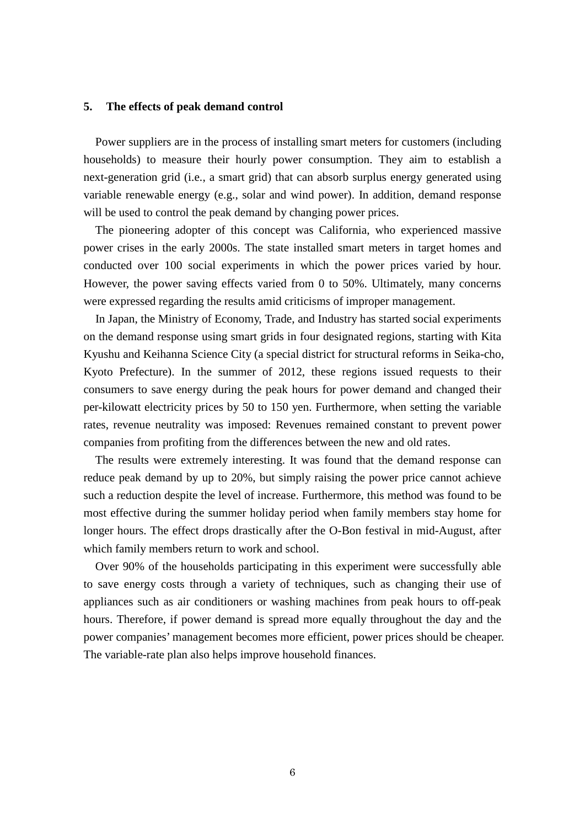### **5. The effects of peak demand control**

Power suppliers are in the process of installing smart meters for customers (including households) to measure their hourly power consumption. They aim to establish a next-generation grid (i.e., a smart grid) that can absorb surplus energy generated using variable renewable energy (e.g., solar and wind power). In addition, demand response will be used to control the peak demand by changing power prices.

The pioneering adopter of this concept was California, who experienced massive power crises in the early 2000s. The state installed smart meters in target homes and conducted over 100 social experiments in which the power prices varied by hour. However, the power saving effects varied from 0 to 50%. Ultimately, many concerns were expressed regarding the results amid criticisms of improper management.

In Japan, the Ministry of Economy, Trade, and Industry has started social experiments on the demand response using smart grids in four designated regions, starting with Kita Kyushu and Keihanna Science City (a special district for structural reforms in Seika-cho, Kyoto Prefecture). In the summer of 2012, these regions issued requests to their consumers to save energy during the peak hours for power demand and changed their per-kilowatt electricity prices by 50 to 150 yen. Furthermore, when setting the variable rates, revenue neutrality was imposed: Revenues remained constant to prevent power companies from profiting from the differences between the new and old rates.

The results were extremely interesting. It was found that the demand response can reduce peak demand by up to 20%, but simply raising the power price cannot achieve such a reduction despite the level of increase. Furthermore, this method was found to be most effective during the summer holiday period when family members stay home for longer hours. The effect drops drastically after the O-Bon festival in mid-August, after which family members return to work and school.

Over 90% of the households participating in this experiment were successfully able to save energy costs through a variety of techniques, such as changing their use of appliances such as air conditioners or washing machines from peak hours to off-peak hours. Therefore, if power demand is spread more equally throughout the day and the power companies' management becomes more efficient, power prices should be cheaper. The variable-rate plan also helps improve household finances.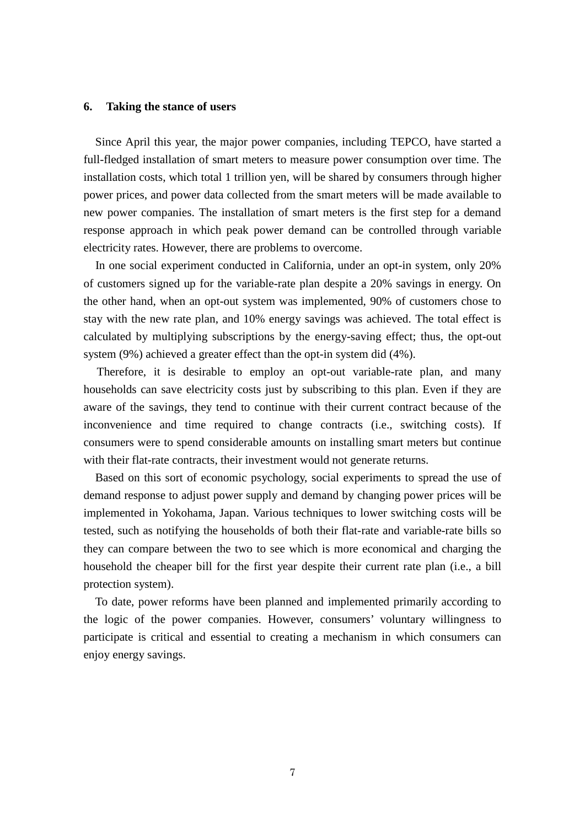#### **6. Taking the stance of users**

Since April this year, the major power companies, including TEPCO, have started a full-fledged installation of smart meters to measure power consumption over time. The installation costs, which total 1 trillion yen, will be shared by consumers through higher power prices, and power data collected from the smart meters will be made available to new power companies. The installation of smart meters is the first step for a demand response approach in which peak power demand can be controlled through variable electricity rates. However, there are problems to overcome.

In one social experiment conducted in California, under an opt-in system, only 20% of customers signed up for the variable-rate plan despite a 20% savings in energy. On the other hand, when an opt-out system was implemented, 90% of customers chose to stay with the new rate plan, and 10% energy savings was achieved. The total effect is calculated by multiplying subscriptions by the energy-saving effect; thus, the opt-out system (9%) achieved a greater effect than the opt-in system did (4%).

Therefore, it is desirable to employ an opt-out variable-rate plan, and many households can save electricity costs just by subscribing to this plan. Even if they are aware of the savings, they tend to continue with their current contract because of the inconvenience and time required to change contracts (i.e., switching costs). If consumers were to spend considerable amounts on installing smart meters but continue with their flat-rate contracts, their investment would not generate returns.

Based on this sort of economic psychology, social experiments to spread the use of demand response to adjust power supply and demand by changing power prices will be implemented in Yokohama, Japan. Various techniques to lower switching costs will be tested, such as notifying the households of both their flat-rate and variable-rate bills so they can compare between the two to see which is more economical and charging the household the cheaper bill for the first year despite their current rate plan (i.e., a bill protection system).

To date, power reforms have been planned and implemented primarily according to the logic of the power companies. However, consumers' voluntary willingness to participate is critical and essential to creating a mechanism in which consumers can enjoy energy savings.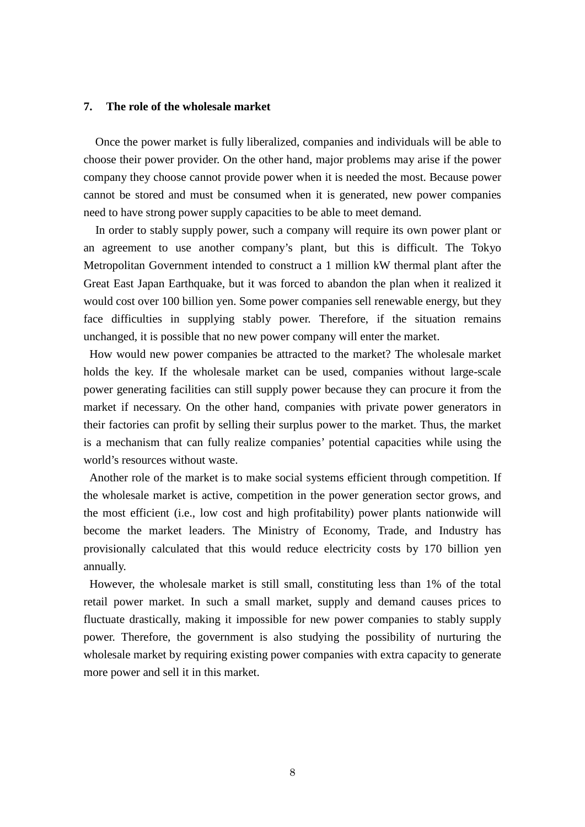### **7. The role of the wholesale market**

Once the power market is fully liberalized, companies and individuals will be able to choose their power provider. On the other hand, major problems may arise if the power company they choose cannot provide power when it is needed the most. Because power cannot be stored and must be consumed when it is generated, new power companies need to have strong power supply capacities to be able to meet demand.

In order to stably supply power, such a company will require its own power plant or an agreement to use another company's plant, but this is difficult. The Tokyo Metropolitan Government intended to construct a 1 million kW thermal plant after the Great East Japan Earthquake, but it was forced to abandon the plan when it realized it would cost over 100 billion yen. Some power companies sell renewable energy, but they face difficulties in supplying stably power. Therefore, if the situation remains unchanged, it is possible that no new power company will enter the market.

How would new power companies be attracted to the market? The wholesale market holds the key. If the wholesale market can be used, companies without large-scale power generating facilities can still supply power because they can procure it from the market if necessary. On the other hand, companies with private power generators in their factories can profit by selling their surplus power to the market. Thus, the market is a mechanism that can fully realize companies' potential capacities while using the world's resources without waste.

Another role of the market is to make social systems efficient through competition. If the wholesale market is active, competition in the power generation sector grows, and the most efficient (i.e., low cost and high profitability) power plants nationwide will become the market leaders. The Ministry of Economy, Trade, and Industry has provisionally calculated that this would reduce electricity costs by 170 billion yen annually.

However, the wholesale market is still small, constituting less than 1% of the total retail power market. In such a small market, supply and demand causes prices to fluctuate drastically, making it impossible for new power companies to stably supply power. Therefore, the government is also studying the possibility of nurturing the wholesale market by requiring existing power companies with extra capacity to generate more power and sell it in this market.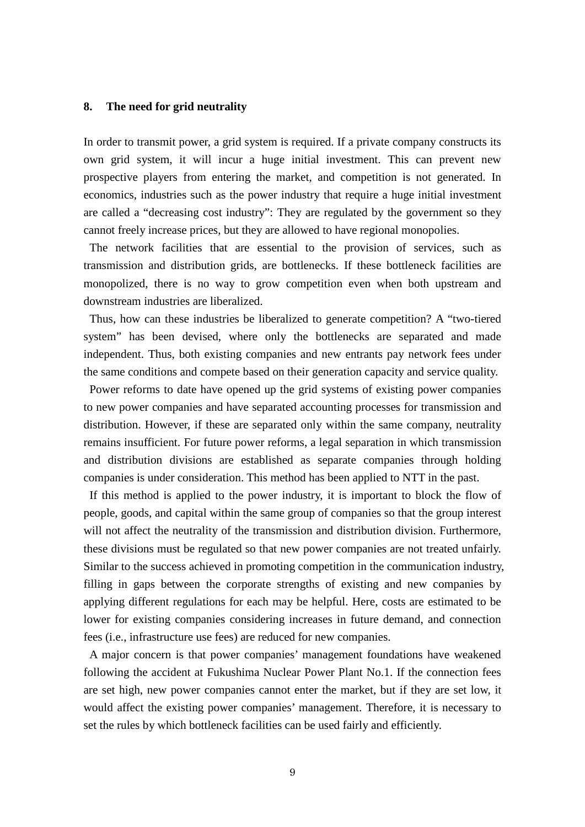#### **8. The need for grid neutrality**

In order to transmit power, a grid system is required. If a private company constructs its own grid system, it will incur a huge initial investment. This can prevent new prospective players from entering the market, and competition is not generated. In economics, industries such as the power industry that require a huge initial investment are called a "decreasing cost industry": They are regulated by the government so they cannot freely increase prices, but they are allowed to have regional monopolies.

The network facilities that are essential to the provision of services, such as transmission and distribution grids, are bottlenecks. If these bottleneck facilities are monopolized, there is no way to grow competition even when both upstream and downstream industries are liberalized.

Thus, how can these industries be liberalized to generate competition? A "two-tiered system" has been devised, where only the bottlenecks are separated and made independent. Thus, both existing companies and new entrants pay network fees under the same conditions and compete based on their generation capacity and service quality.

Power reforms to date have opened up the grid systems of existing power companies to new power companies and have separated accounting processes for transmission and distribution. However, if these are separated only within the same company, neutrality remains insufficient. For future power reforms, a legal separation in which transmission and distribution divisions are established as separate companies through holding companies is under consideration. This method has been applied to NTT in the past.

If this method is applied to the power industry, it is important to block the flow of people, goods, and capital within the same group of companies so that the group interest will not affect the neutrality of the transmission and distribution division. Furthermore, these divisions must be regulated so that new power companies are not treated unfairly. Similar to the success achieved in promoting competition in the communication industry, filling in gaps between the corporate strengths of existing and new companies by applying different regulations for each may be helpful. Here, costs are estimated to be lower for existing companies considering increases in future demand, and connection fees (i.e., infrastructure use fees) are reduced for new companies.

A major concern is that power companies' management foundations have weakened following the accident at Fukushima Nuclear Power Plant No.1. If the connection fees are set high, new power companies cannot enter the market, but if they are set low, it would affect the existing power companies' management. Therefore, it is necessary to set the rules by which bottleneck facilities can be used fairly and efficiently.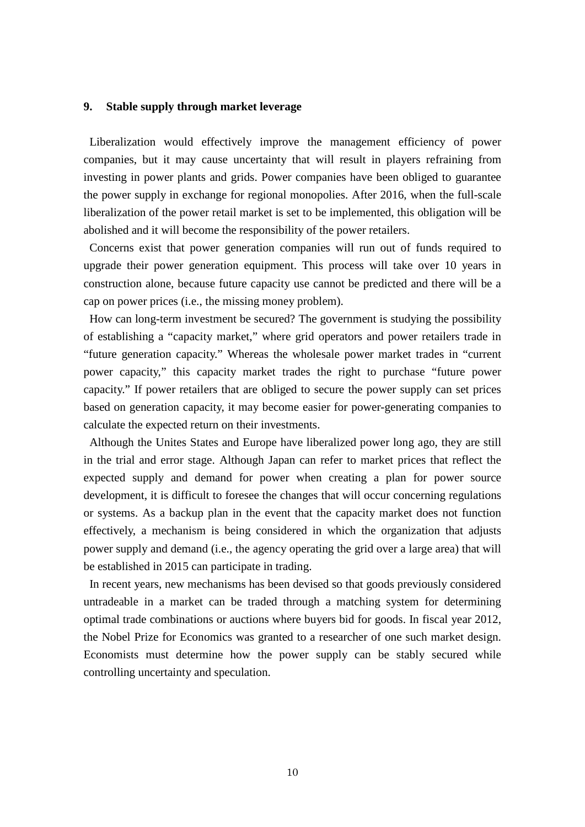### **9. Stable supply through market leverage**

Liberalization would effectively improve the management efficiency of power companies, but it may cause uncertainty that will result in players refraining from investing in power plants and grids. Power companies have been obliged to guarantee the power supply in exchange for regional monopolies. After 2016, when the full-scale liberalization of the power retail market is set to be implemented, this obligation will be abolished and it will become the responsibility of the power retailers.

Concerns exist that power generation companies will run out of funds required to upgrade their power generation equipment. This process will take over 10 years in construction alone, because future capacity use cannot be predicted and there will be a cap on power prices (i.e., the missing money problem).

How can long-term investment be secured? The government is studying the possibility of establishing a "capacity market," where grid operators and power retailers trade in "future generation capacity." Whereas the wholesale power market trades in "current power capacity," this capacity market trades the right to purchase "future power capacity." If power retailers that are obliged to secure the power supply can set prices based on generation capacity, it may become easier for power-generating companies to calculate the expected return on their investments.

Although the Unites States and Europe have liberalized power long ago, they are still in the trial and error stage. Although Japan can refer to market prices that reflect the expected supply and demand for power when creating a plan for power source development, it is difficult to foresee the changes that will occur concerning regulations or systems. As a backup plan in the event that the capacity market does not function effectively, a mechanism is being considered in which the organization that adjusts power supply and demand (i.e., the agency operating the grid over a large area) that will be established in 2015 can participate in trading.

In recent years, new mechanisms has been devised so that goods previously considered untradeable in a market can be traded through a matching system for determining optimal trade combinations or auctions where buyers bid for goods. In fiscal year 2012, the Nobel Prize for Economics was granted to a researcher of one such market design. Economists must determine how the power supply can be stably secured while controlling uncertainty and speculation.